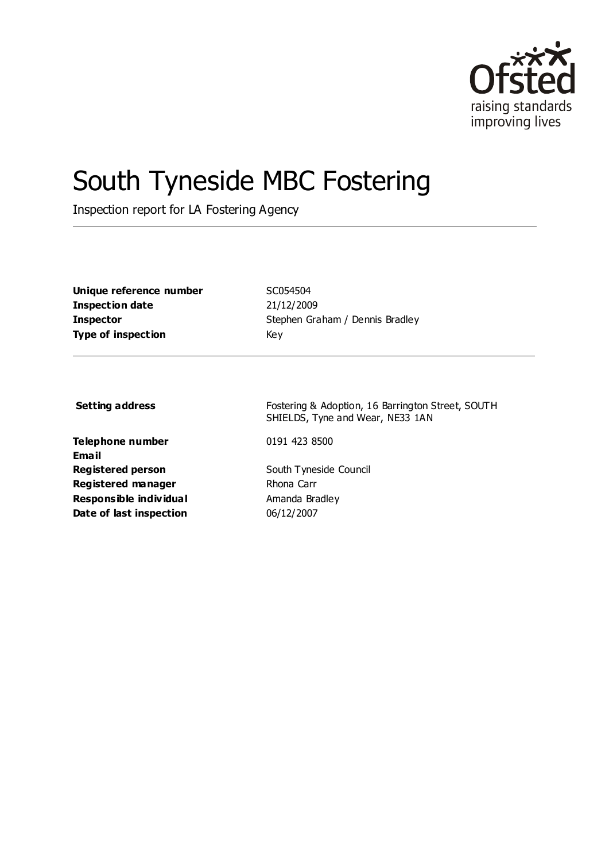

# South Tyneside MBC Fostering

Inspection report for LA Fostering Agency

**Unique reference number** SC054504 **Inspection date** 21/12/2009 **Type of inspection** Key

**Inspector** Stephen Graham / Dennis Bradley

**Telephone number** 0191 423 8500 **Email Registered person** South Tyneside Council **Registered manager** Rhona Carr **Responsible individual** Amanda Bradley **Date of last inspection** 06/12/2007

**Setting address** Fostering & Adoption, 16 Barrington Street, SOUTH SHIELDS, Tyne and Wear, NE33 1AN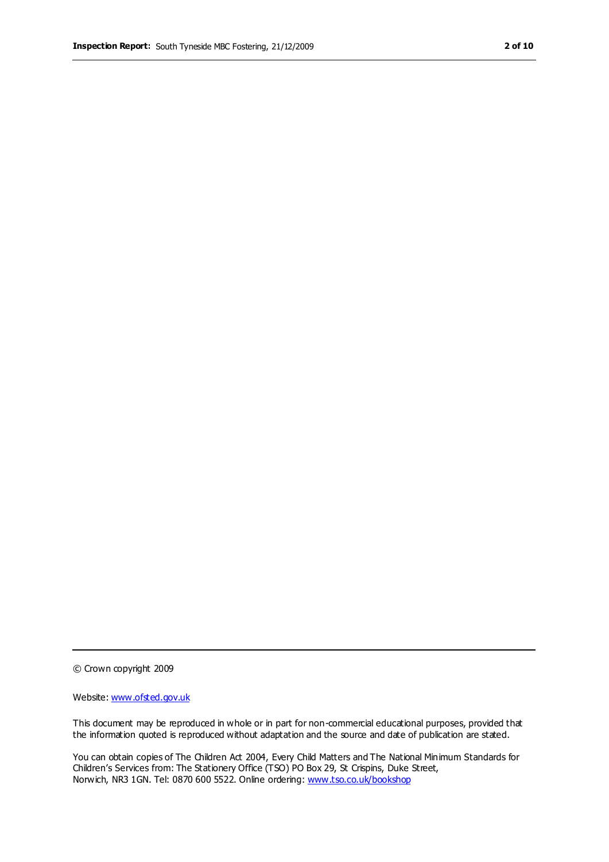© Crown copyright 2009

Website: www.ofsted.gov.uk

This document may be reproduced in whole or in part for non-commercial educational purposes, provided that the information quoted is reproduced without adaptation and the source and date of publication are stated.

You can obtain copies of The Children Act 2004, Every Child Matters and The National Minimum Standards for Children's Services from: The Stationery Office (TSO) PO Box 29, St Crispins, Duke Street, Norwich, NR3 1GN. Tel: 0870 600 5522. Online ordering: www.tso.co.uk/bookshop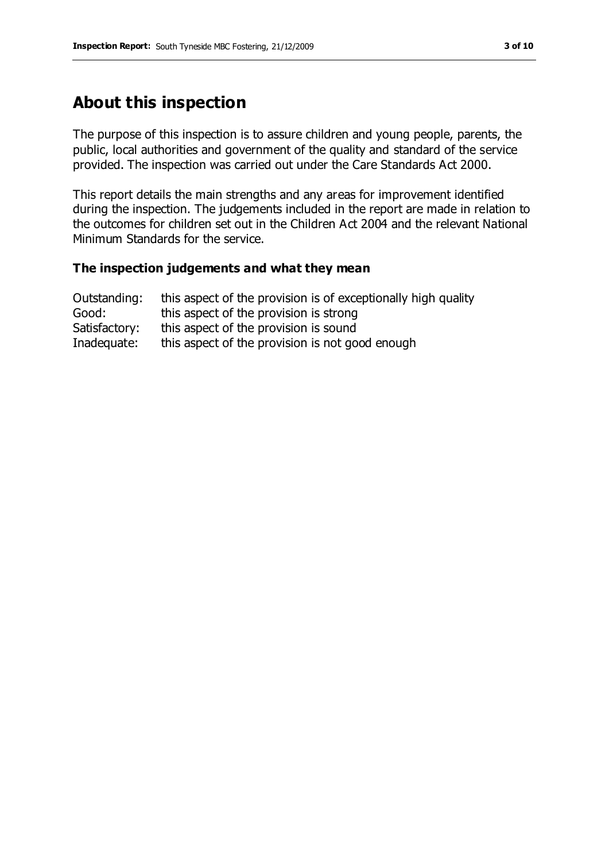## **About this inspection**

The purpose of this inspection is to assure children and young people, parents, the public, local authorities and government of the quality and standard of the service provided. The inspection was carried out under the Care Standards Act 2000.

This report details the main strengths and any areas for improvement identified during the inspection. The judgements included in the report are made in relation to the outcomes for children set out in the Children Act 2004 and the relevant National Minimum Standards for the service.

#### **The inspection judgements and what they mean**

| Outstanding:  | this aspect of the provision is of exceptionally high quality |
|---------------|---------------------------------------------------------------|
| Good:         | this aspect of the provision is strong                        |
| Satisfactory: | this aspect of the provision is sound                         |
| Inadequate:   | this aspect of the provision is not good enough               |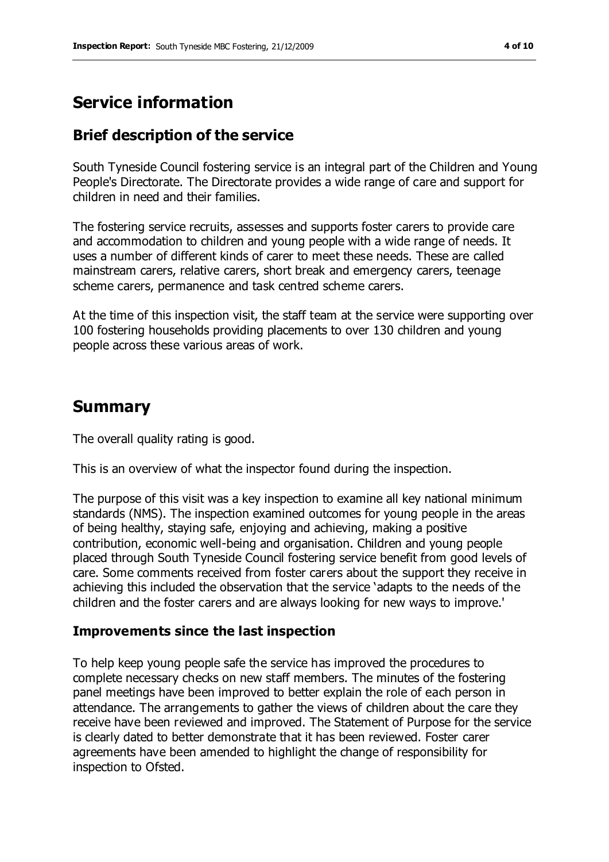# **Service information**

### **Brief description of the service**

South Tyneside Council fostering service is an integral part of the Children and Young People's Directorate. The Directorate provides a wide range of care and support for children in need and their families.

The fostering service recruits, assesses and supports foster carers to provide care and accommodation to children and young people with a wide range of needs. It uses a number of different kinds of carer to meet these needs. These are called mainstream carers, relative carers, short break and emergency carers, teenage scheme carers, permanence and task centred scheme carers.

At the time of this inspection visit, the staff team at the service were supporting over 100 fostering households providing placements to over 130 children and young people across these various areas of work.

## **Summary**

The overall quality rating is good.

This is an overview of what the inspector found during the inspection.

The purpose of this visit was a key inspection to examine all key national minimum standards (NMS). The inspection examined outcomes for young people in the areas of being healthy, staying safe, enjoying and achieving, making a positive contribution, economic well-being and organisation. Children and young people placed through South Tyneside Council fostering service benefit from good levels of care. Some comments received from foster carers about the support they receive in achieving this included the observation that the service 'adapts to the needs of the children and the foster carers and are always looking for new ways to improve.'

#### **Improvements since the last inspection**

To help keep young people safe the service has improved the procedures to complete necessary checks on new staff members. The minutes of the fostering panel meetings have been improved to better explain the role of each person in attendance. The arrangements to gather the views of children about the care they receive have been reviewed and improved. The Statement of Purpose for the service is clearly dated to better demonstrate that it has been reviewed. Foster carer agreements have been amended to highlight the change of responsibility for inspection to Ofsted.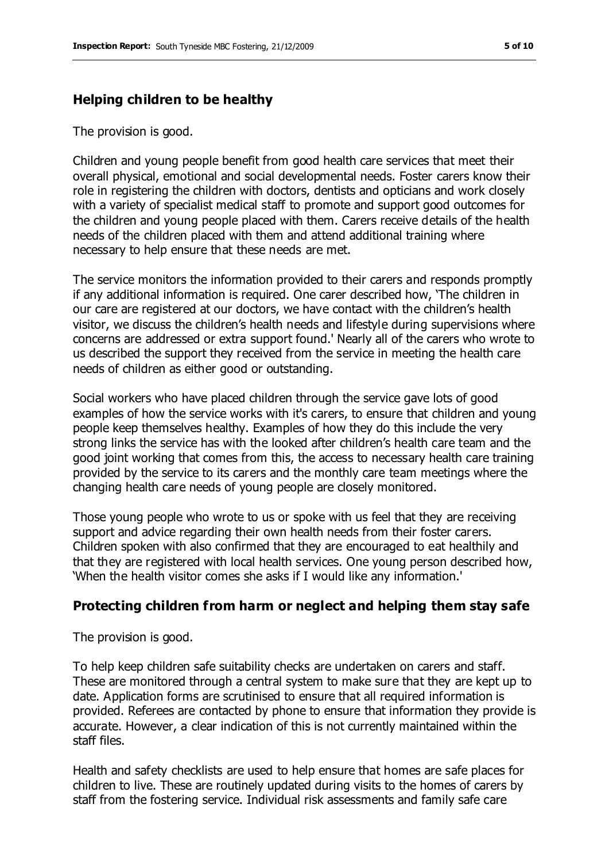#### **Helping children to be healthy**

The provision is good.

Children and young people benefit from good health care services that meet their overall physical, emotional and social developmental needs. Foster carers know their role in registering the children with doctors, dentists and opticians and work closely with a variety of specialist medical staff to promote and support good outcomes for the children and young people placed with them. Carers receive details of the health needs of the children placed with them and attend additional training where necessary to help ensure that these needs are met.

The service monitors the information provided to their carers and responds promptly if any additional information is required. One carer described how, 'The children in our care are registered at our doctors, we have contact with the children's health visitor, we discuss the children's health needs and lifestyle during supervisions where concerns are addressed or extra support found.' Nearly all of the carers who wrote to us described the support they received from the service in meeting the health care needs of children as either good or outstanding.

Social workers who have placed children through the service gave lots of good examples of how the service works with it's carers, to ensure that children and young people keep themselves healthy. Examples of how they do this include the very strong links the service has with the looked after children's health care team and the good joint working that comes from this, the access to necessary health care training provided by the service to its carers and the monthly care team meetings where the changing health care needs of young people are closely monitored.

Those young people who wrote to us or spoke with us feel that they are receiving support and advice regarding their own health needs from their foster carers. Children spoken with also confirmed that they are encouraged to eat healthily and that they are registered with local health services. One young person described how, 'When the health visitor comes she asks if I would like any information.'

#### **Protecting children from harm or neglect and helping them stay safe**

The provision is good.

To help keep children safe suitability checks are undertaken on carers and staff. These are monitored through a central system to make sure that they are kept up to date. Application forms are scrutinised to ensure that all required information is provided. Referees are contacted by phone to ensure that information they provide is accurate. However, a clear indication of this is not currently maintained within the staff files.

Health and safety checklists are used to help ensure that homes are safe places for children to live. These are routinely updated during visits to the homes of carers by staff from the fostering service. Individual risk assessments and family safe care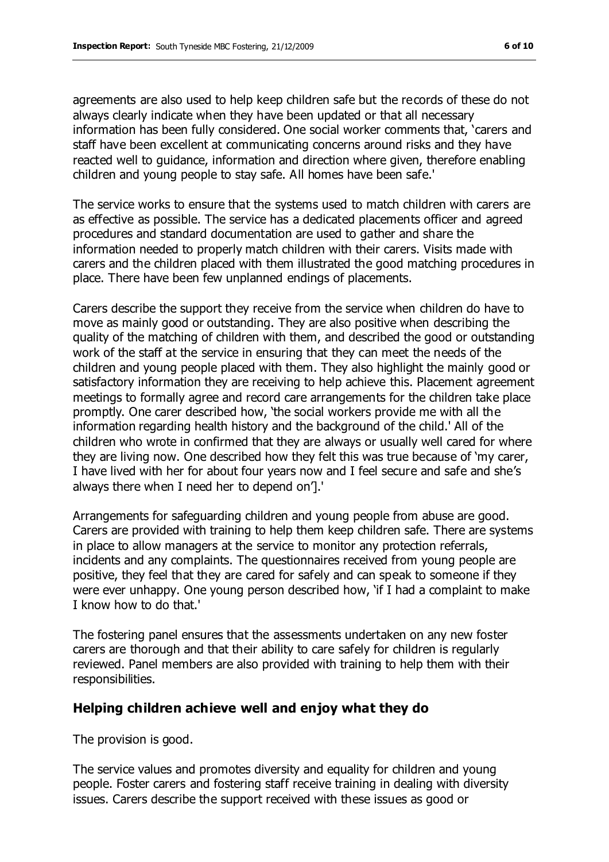agreements are also used to help keep children safe but the records of these do not always clearly indicate when they have been updated or that all necessary information has been fully considered. One social worker comments that, 'carers and staff have been excellent at communicating concerns around risks and they have reacted well to guidance, information and direction where given, therefore enabling children and young people to stay safe. All homes have been safe.'

The service works to ensure that the systems used to match children with carers are as effective as possible. The service has a dedicated placements officer and agreed procedures and standard documentation are used to gather and share the information needed to properly match children with their carers. Visits made with carers and the children placed with them illustrated the good matching procedures in place. There have been few unplanned endings of placements.

Carers describe the support they receive from the service when children do have to move as mainly good or outstanding. They are also positive when describing the quality of the matching of children with them, and described the good or outstanding work of the staff at the service in ensuring that they can meet the needs of the children and young people placed with them. They also highlight the mainly good or satisfactory information they are receiving to help achieve this. Placement agreement meetings to formally agree and record care arrangements for the children take place promptly. One carer described how, 'the social workers provide me with all the information regarding health history and the background of the child.' All of the children who wrote in confirmed that they are always or usually well cared for where they are living now. One described how they felt this was true because of 'my carer, I have lived with her for about four years now and I feel secure and safe and she's always there when I need her to depend on'].'

Arrangements for safeguarding children and young people from abuse are good. Carers are provided with training to help them keep children safe. There are systems in place to allow managers at the service to monitor any protection referrals, incidents and any complaints. The questionnaires received from young people are positive, they feel that they are cared for safely and can speak to someone if they were ever unhappy. One young person described how, 'if I had a complaint to make I know how to do that.'

The fostering panel ensures that the assessments undertaken on any new foster carers are thorough and that their ability to care safely for children is regularly reviewed. Panel members are also provided with training to help them with their responsibilities.

#### **Helping children achieve well and enjoy what they do**

The provision is good.

The service values and promotes diversity and equality for children and young people. Foster carers and fostering staff receive training in dealing with diversity issues. Carers describe the support received with these issues as good or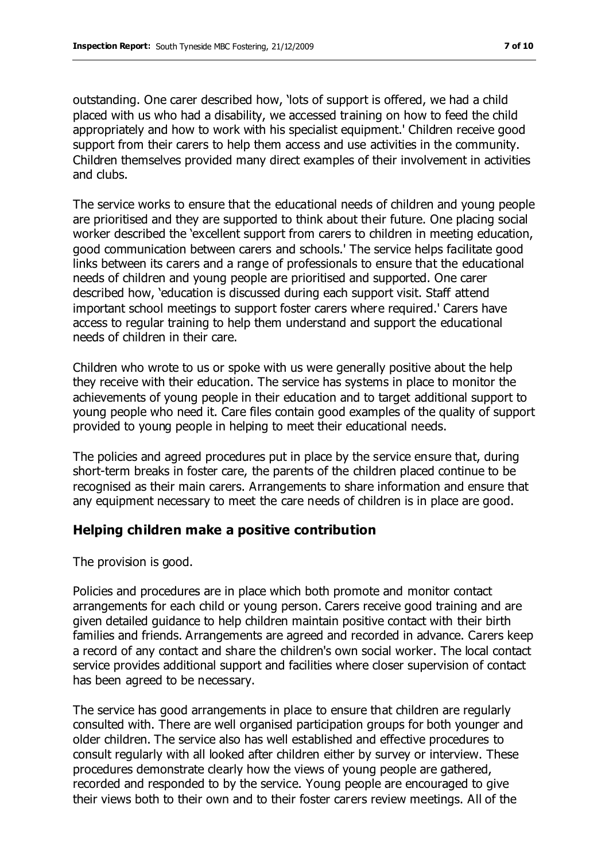outstanding. One carer described how, 'lots of support is offered, we had a child placed with us who had a disability, we accessed training on how to feed the child appropriately and how to work with his specialist equipment.' Children receive good support from their carers to help them access and use activities in the community. Children themselves provided many direct examples of their involvement in activities and clubs.

The service works to ensure that the educational needs of children and young people are prioritised and they are supported to think about their future. One placing social worker described the 'excellent support from carers to children in meeting education, good communication between carers and schools.' The service helps facilitate good links between its carers and a range of professionals to ensure that the educational needs of children and young people are prioritised and supported. One carer described how, 'education is discussed during each support visit. Staff attend important school meetings to support foster carers where required.' Carers have access to regular training to help them understand and support the educational needs of children in their care.

Children who wrote to us or spoke with us were generally positive about the help they receive with their education. The service has systems in place to monitor the achievements of young people in their education and to target additional support to young people who need it. Care files contain good examples of the quality of support provided to young people in helping to meet their educational needs.

The policies and agreed procedures put in place by the service ensure that, during short-term breaks in foster care, the parents of the children placed continue to be recognised as their main carers. Arrangements to share information and ensure that any equipment necessary to meet the care needs of children is in place are good.

#### **Helping children make a positive contribution**

The provision is good.

Policies and procedures are in place which both promote and monitor contact arrangements for each child or young person. Carers receive good training and are given detailed guidance to help children maintain positive contact with their birth families and friends. Arrangements are agreed and recorded in advance. Carers keep a record of any contact and share the children's own social worker. The local contact service provides additional support and facilities where closer supervision of contact has been agreed to be necessary.

The service has good arrangements in place to ensure that children are regularly consulted with. There are well organised participation groups for both younger and older children. The service also has well established and effective procedures to consult regularly with all looked after children either by survey or interview. These procedures demonstrate clearly how the views of young people are gathered, recorded and responded to by the service. Young people are encouraged to give their views both to their own and to their foster carers review meetings. All of the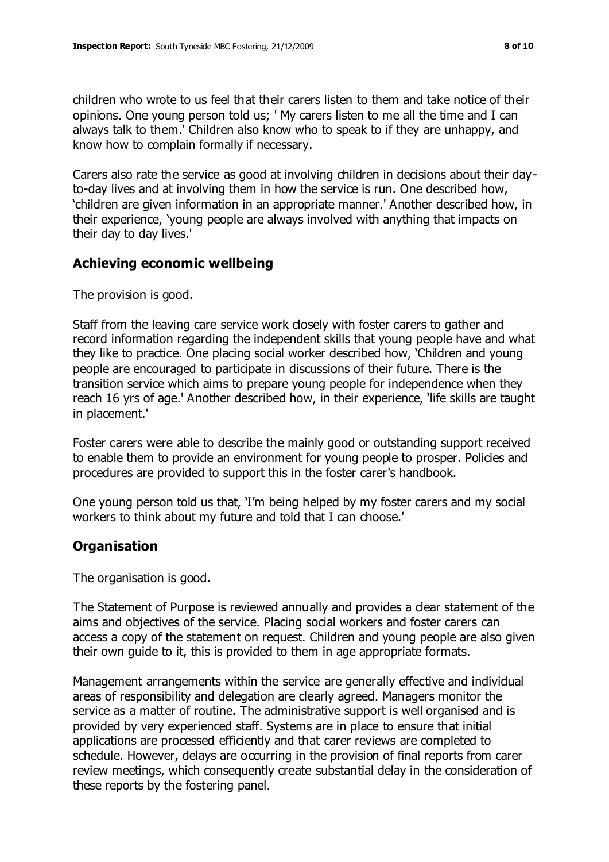children who wrote to us feel that their carers listen to them and take notice of their opinions. One young person told us; ' My carers listen to me all the time and I can always talk to them.' Children also know who to speak to if they are unhappy, and know how to complain formally if necessary.

Carers also rate the service as good at involving children in decisions about their dayto-day lives and at involving them in how the service is run. One described how, 'children are given information in an appropriate manner.' Another described how, in their experience, 'young people are always involved with anything that impacts on their day to day lives.'

#### **Achieving economic wellbeing**

The provision is good.

Staff from the leaving care service work closely with foster carers to gather and record information regarding the independent skills that young people have and what they like to practice. One placing social worker described how, 'Children and young people are encouraged to participate in discussions of their future. There is the transition service which aims to prepare young people for independence when they reach 16 yrs of age.' Another described how, in their experience, 'life skills are taught in placement.'

Foster carers were able to describe the mainly good or outstanding support received to enable them to provide an environment for young people to prosper. Policies and procedures are provided to support this in the foster carer's handbook.

One young person told us that, 'I'm being helped by my foster carers and my social workers to think about my future and told that I can choose.'

#### **Organisation**

The organisation is good.

The Statement of Purpose is reviewed annually and provides a clear statement of the aims and objectives of the service. Placing social workers and foster carers can access a copy of the statement on request. Children and young people are also given their own guide to it, this is provided to them in age appropriate formats.

Management arrangements within the service are generally effective and individual areas of responsibility and delegation are clearly agreed. Managers monitor the service as a matter of routine. The administrative support is well organised and is provided by very experienced staff. Systems are in place to ensure that initial applications are processed efficiently and that carer reviews are completed to schedule. However, delays are occurring in the provision of final reports from carer review meetings, which consequently create substantial delay in the consideration of these reports by the fostering panel.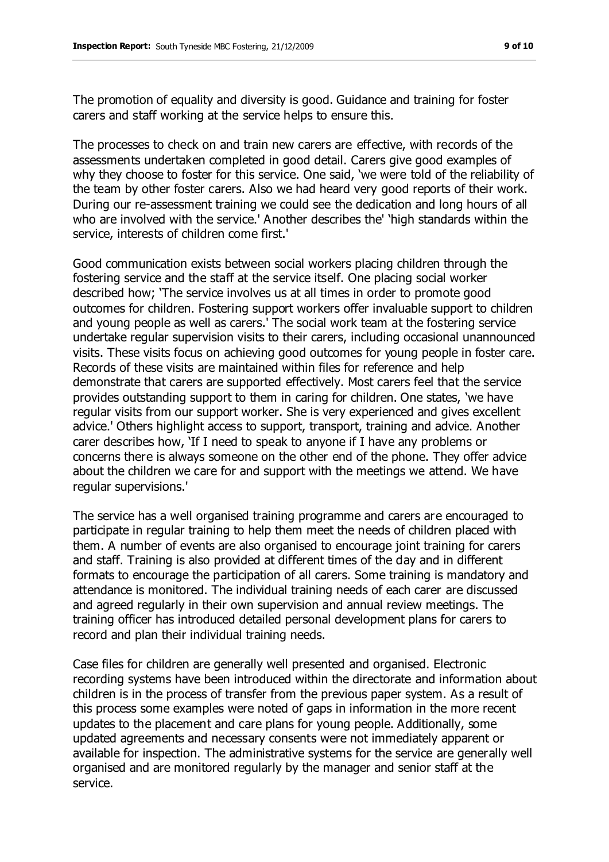The promotion of equality and diversity is good. Guidance and training for foster carers and staff working at the service helps to ensure this.

The processes to check on and train new carers are effective, with records of the assessments undertaken completed in good detail. Carers give good examples of why they choose to foster for this service. One said, 'we were told of the reliability of the team by other foster carers. Also we had heard very good reports of their work. During our re-assessment training we could see the dedication and long hours of all who are involved with the service.' Another describes the' 'high standards within the service, interests of children come first.'

Good communication exists between social workers placing children through the fostering service and the staff at the service itself. One placing social worker described how; 'The service involves us at all times in order to promote good outcomes for children. Fostering support workers offer invaluable support to children and young people as well as carers.' The social work team at the fostering service undertake regular supervision visits to their carers, including occasional unannounced visits. These visits focus on achieving good outcomes for young people in foster care. Records of these visits are maintained within files for reference and help demonstrate that carers are supported effectively. Most carers feel that the service provides outstanding support to them in caring for children. One states, 'we have regular visits from our support worker. She is very experienced and gives excellent advice.' Others highlight access to support, transport, training and advice. Another carer describes how, 'If I need to speak to anyone if I have any problems or concerns there is always someone on the other end of the phone. They offer advice about the children we care for and support with the meetings we attend. We have regular supervisions.'

The service has a well organised training programme and carers are encouraged to participate in regular training to help them meet the needs of children placed with them. A number of events are also organised to encourage joint training for carers and staff. Training is also provided at different times of the day and in different formats to encourage the participation of all carers. Some training is mandatory and attendance is monitored. The individual training needs of each carer are discussed and agreed regularly in their own supervision and annual review meetings. The training officer has introduced detailed personal development plans for carers to record and plan their individual training needs.

Case files for children are generally well presented and organised. Electronic recording systems have been introduced within the directorate and information about children is in the process of transfer from the previous paper system. As a result of this process some examples were noted of gaps in information in the more recent updates to the placement and care plans for young people. Additionally, some updated agreements and necessary consents were not immediately apparent or available for inspection. The administrative systems for the service are generally well organised and are monitored regularly by the manager and senior staff at the service.